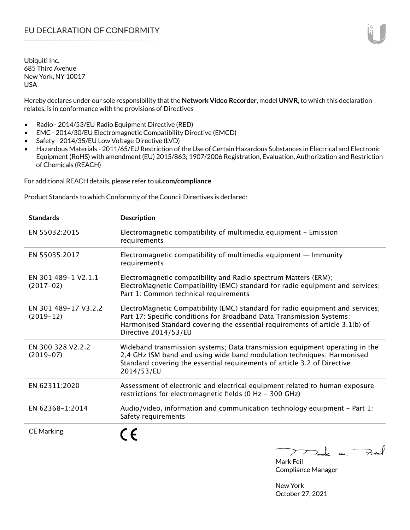Hereby declares under our sole responsibility that the **Network Video Recorder**, model **UNVR**, to which this declaration relates, is in conformance with the provisions of Directives

- Radio 2014/53/EU Radio Equipment Directive (RED)
- EMC 2014/30/EU Electromagnetic Compatibility Directive (EMCD)
- Safety 2014/35/EU Low Voltage Directive (LVD)
- Hazardous Materials 2011/65/EU Restriction of the Use of Certain Hazardous Substances in Electrical and Electronic Equipment (RoHS) with amendment (EU) 2015/863; 1907/2006 Registration, Evaluation, Authorization and Restriction of Chemicals (REACH)

For additional REACH details, please refer to **ui.com/compliance**

Product Standards to which Conformity of the Council Directives is declared:

| <b>Standards</b>                    | <b>Description</b>                                                                                                                                                                                                                                              |
|-------------------------------------|-----------------------------------------------------------------------------------------------------------------------------------------------------------------------------------------------------------------------------------------------------------------|
| EN 55032:2015                       | Electromagnetic compatibility of multimedia equipment - Emission<br>requirements                                                                                                                                                                                |
| EN 55035:2017                       | Electromagnetic compatibility of multimedia equipment $-$ Immunity<br>requirements                                                                                                                                                                              |
| EN 301 489-1 V2.1.1<br>$(2017-02)$  | Electromagnetic compatibility and Radio spectrum Matters (ERM);<br>ElectroMagnetic Compatibility (EMC) standard for radio equipment and services;<br>Part 1: Common technical requirements                                                                      |
| EN 301 489-17 V3.2.2<br>$(2019-12)$ | ElectroMagnetic Compatibility (EMC) standard for radio equipment and services;<br>Part 17: Specific conditions for Broadband Data Transmission Systems;<br>Harmonised Standard covering the essential requirements of article 3.1(b) of<br>Directive 2014/53/EU |
| EN 300 328 V2.2.2<br>$(2019-07)$    | Wideband transmission systems; Data transmission equipment operating in the<br>2,4 GHz ISM band and using wide band modulation techniques; Harmonised<br>Standard covering the essential requirements of article 3.2 of Directive<br>2014/53/EU                 |
| EN 62311:2020                       | Assessment of electronic and electrical equipment related to human exposure<br>restrictions for electromagnetic fields (0 Hz - 300 GHz)                                                                                                                         |
| EN 62368-1:2014                     | Audio/video, information and communication technology equipment - Part 1:<br>Safety requirements                                                                                                                                                                |
| <b>CE Marking</b>                   | $\sqrt{2}$                                                                                                                                                                                                                                                      |

 $>$ ak un. Feit  $\sum$ 

Mark Feil Compliance Manager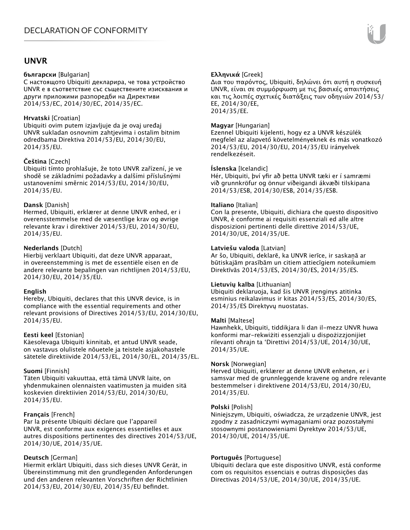## **UNVR**

#### **български** [Bulgarian]

С настоящото Ubiquiti декларира, че това устройство UNVR е в съответствие със съществените изисквания и други приложими разпоредби на Директиви 2014/53/EC, 2014/30/ЕС, 2014/35/ЕС.

#### **Hrvatski** [Croatian]

Ubiquiti ovim putem izjavljuje da je ovaj uređaj UNVR sukladan osnovnim zahtjevima i ostalim bitnim odredbama Direktiva 2014/53/EU, 2014/30/EU, 2014/35/EU.

## **Čeština** [Czech]

Ubiquiti tímto prohlašuje, že toto UNVR zařízení, je ve shodě se základními požadavky a dalšími příslušnými ustanoveními směrnic 2014/53/EU, 2014/30/EU, 2014/35/EU.

#### **Dansk** [Danish]

Hermed, Ubiquiti, erklærer at denne UNVR enhed, er i overensstemmelse med de væsentlige krav og øvrige relevante krav i direktiver 2014/53/EU, 2014/30/EU, 2014/35/EU.

## **Nederlands** [Dutch]

Hierbij verklaart Ubiquiti, dat deze UNVR apparaat, in overeenstemming is met de essentiële eisen en de andere relevante bepalingen van richtlijnen 2014/53/EU, 2014/30/EU, 2014/35/EU.

#### **English**

Hereby, Ubiquiti, declares that this UNVR device, is in compliance with the essential requirements and other relevant provisions of Directives 2014/53/EU, 2014/30/EU, 2014/35/EU.

#### **Eesti keel** [Estonian]

Käesolevaga Ubiquiti kinnitab, et antud UNVR seade, on vastavus olulistele nõuetele ja teistele asjakohastele sätetele direktiivide 2014/53/EL, 2014/30/EL, 2014/35/EL.

#### **Suomi** [Finnish]

Täten Ubiquiti vakuuttaa, että tämä UNVR laite, on yhdenmukainen olennaisten vaatimusten ja muiden sitä koskevien direktiivien 2014/53/EU, 2014/30/EU, 2014/35/EU.

## **Français** [French]

Par la présente Ubiquiti déclare que l'appareil UNVR, est conforme aux exigences essentielles et aux autres dispositions pertinentes des directives 2014/53/UE, 2014/30/UE, 2014/35/UE.

## **Deutsch** [German]

Hiermit erklärt Ubiquiti, dass sich dieses UNVR Gerät, in Übereinstimmung mit den grundlegenden Anforderungen und den anderen relevanten Vorschriften der Richtlinien 2014/53/EU, 2014/30/EU, 2014/35/EU befindet.

## **Ελληνικά** [Greek]

Δια του παρόντος, Ubiquiti, δηλώνει ότι αυτή η συσκευή UNVR, είναι σε συμμόρφωση με τις βασικές απαιτήσεις και τις λοιπές σχετικές διατάξεις των οδηγιών 2014/53/ EE, 2014/30/EE, 2014/35/EE.

### **Magyar** [Hungarian]

Ezennel Ubiquiti kijelenti, hogy ez a UNVR készülék megfelel az alapvető követelményeknek és más vonatkozó 2014/53/EU, 2014/30/EU, 2014/35/EU irányelvek rendelkezéseit.

#### **Íslenska** [Icelandic]

Hér, Ubiquiti, því yfir að þetta UNVR tæki er í samræmi við grunnkröfur og önnur viðeigandi ákvæði tilskipana 2014/53/ESB, 2014/30/ESB, 2014/35/ESB.

#### **Italiano** [Italian]

Con la presente, Ubiquiti, dichiara che questo dispositivo UNVR, è conforme ai requisiti essenziali ed alle altre disposizioni pertinenti delle direttive 2014/53/UE, 2014/30/UE, 2014/35/UE.

#### **Latviešu valoda** [Latvian]

Ar šo, Ubiquiti, deklarē, ka UNVR ierīce, ir saskaņā ar būtiskajām prasībām un citiem attiecīgiem noteikumiem Direktīvās 2014/53/ES, 2014/30/ES, 2014/35/ES.

#### **Lietuvių kalba** [Lithuanian]

Ubiquiti deklaruoja, kad šis UNVR įrenginys atitinka esminius reikalavimus ir kitas 2014/53/ES, 2014/30/ES, 2014/35/ES Direktyvų nuostatas.

#### **Malti** [Maltese]

Hawnhekk, Ubiquiti, tiddikjara li dan il-mezz UNVR huwa konformi mar-rekwiżiti essenzjali u dispożizzjonijiet rilevanti oħrajn ta 'Direttivi 2014/53/UE, 2014/30/UE, 2014/35/UE.

#### **Norsk** [Norwegian]

Herved Ubiquiti, erklærer at denne UNVR enheten, er i samsvar med de grunnleggende kravene og andre relevante bestemmelser i direktivene 2014/53/EU, 2014/30/EU, 2014/35/EU.

#### **Polski** [Polish]

Niniejszym, Ubiquiti, oświadcza, że urządzenie UNVR, jest zgodny z zasadniczymi wymaganiami oraz pozostałymi stosownymi postanowieniami Dyrektyw 2014/53/UE, 2014/30/UE, 2014/35/UE.

#### **Português** [Portuguese]

Ubiquiti declara que este dispositivo UNVR, está conforme com os requisitos essenciais e outras disposições das Directivas 2014/53/UE, 2014/30/UE, 2014/35/UE.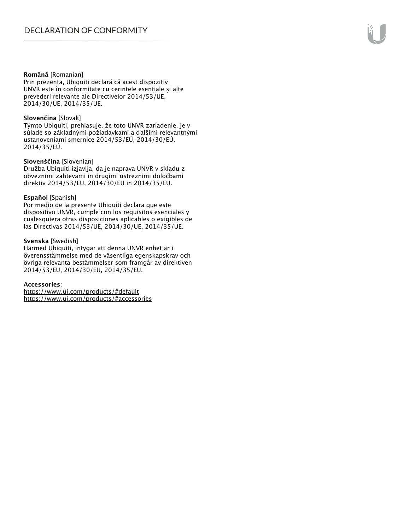#### **Română** [Romanian]

Prin prezenta, Ubiquiti declară că acest dispozitiv UNVR este în conformitate cu cerințele esențiale și alte prevederi relevante ale Directivelor 2014/53/UE, 2014/30/UE, 2014/35/UE.

#### **Slovenčina** [Slovak]

Týmto Ubiquiti, prehlasuje, že toto UNVR zariadenie, je v súlade so základnými požiadavkami a ďalšími relevantnými ustanoveniami smernice 2014/53/EÚ, 2014/30/EÚ, 2014/35/EÚ.

#### **Slovenščina** [Slovenian]

Družba Ubiquiti izjavlja, da je naprava UNVR v skladu z obveznimi zahtevami in drugimi ustreznimi določbami direktiv 2014/53/EU, 2014/30/EU in 2014/35/EU.

#### **Español** [Spanish]

Por medio de la presente Ubiquiti declara que este dispositivo UNVR, cumple con los requisitos esenciales y cualesquiera otras disposiciones aplicables o exigibles de las Directivas 2014/53/UE, 2014/30/UE, 2014/35/UE.

#### **Svenska** [Swedish]

Härmed Ubiquiti, intygar att denna UNVR enhet är i överensstämmelse med de väsentliga egenskapskrav och övriga relevanta bestämmelser som framgår av direktiven 2014/53/EU, 2014/30/EU, 2014/35/EU.

#### **Accessories**:

https://www.ui.com/products/#default https://www.ui.com/products/#accessories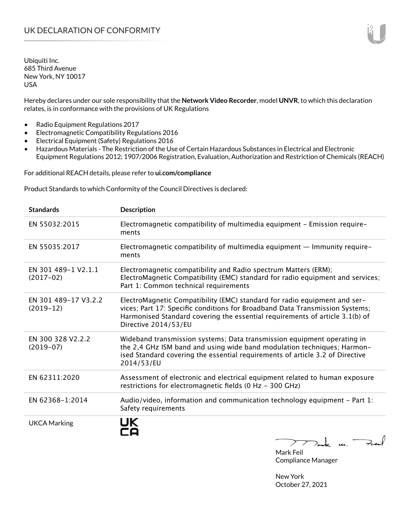Hereby declares under our sole responsibility that the **Network Video Recorder**, model **UNVR**, to which this declaration relates, is in conformance with the provisions of UK Regulations

- Radio Equipment Regulations 2017
- Electromagnetic Compatibility Regulations 2016
- Electrical Equipment (Safety) Regulations 2016
- Hazardous Materials The Restriction of the Use of Certain Hazardous Substances in Electrical and Electronic Equipment Regulations 2012; 1907/2006 Registration, Evaluation, Authorization and Restriction of Chemicals (REACH)

For additional REACH details, please refer to **ui.com/compliance**

Product Standards to which Conformity of the Council Directives is declared:

| <b>Standards</b>                    | <b>Description</b>                                                                                                                                                                                                                                                |
|-------------------------------------|-------------------------------------------------------------------------------------------------------------------------------------------------------------------------------------------------------------------------------------------------------------------|
| EN 55032:2015                       | Electromagnetic compatibility of multimedia equipment - Emission require-<br>ments                                                                                                                                                                                |
| EN 55035:2017                       | Electromagnetic compatibility of multimedia equipment - Immunity require-<br>ments                                                                                                                                                                                |
| EN 301 489-1 V2.1.1<br>$(2017-02)$  | Electromagnetic compatibility and Radio spectrum Matters (ERM);<br>ElectroMagnetic Compatibility (EMC) standard for radio equipment and services;<br>Part 1: Common technical requirements                                                                        |
| EN 301 489-17 V3.2.2<br>$(2019-12)$ | ElectroMagnetic Compatibility (EMC) standard for radio equipment and ser-<br>vices; Part 17: Specific conditions for Broadband Data Transmission Systems;<br>Harmonised Standard covering the essential requirements of article 3.1(b) of<br>Directive 2014/53/EU |
| EN 300 328 V2.2.2<br>$(2019-07)$    | Wideband transmission systems; Data transmission equipment operating in<br>the 2,4 GHz ISM band and using wide band modulation techniques; Harmon-<br>ised Standard covering the essential requirements of article 3.2 of Directive<br>2014/53/EU                 |
| EN 62311:2020                       | Assessment of electronic and electrical equipment related to human exposure<br>restrictions for electromagnetic fields (0 Hz - 300 GHz)                                                                                                                           |
| EN 62368-1:2014                     | Audio/video, information and communication technology equipment - Part 1:<br>Safety requirements                                                                                                                                                                  |
| <b>UKCA Marking</b>                 | $\rightarrow$ $\rightarrow$ $\rightarrow$ $\rightarrow$                                                                                                                                                                                                           |

Mark Feil Compliance Manager

New York

October 27, 2021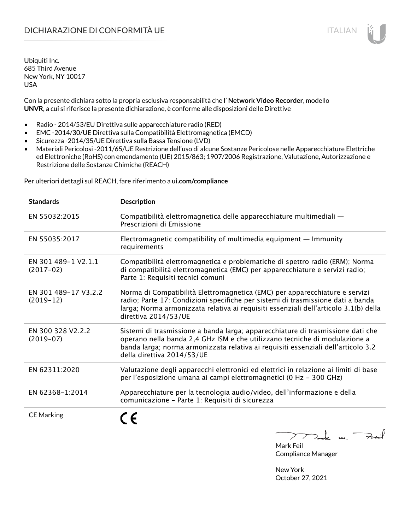Con la presente dichiara sotto la propria esclusiva responsabilità che l' **Network Video Recorder**, modello **UNVR**, a cui si riferisce la presente dichiarazione, è conforme alle disposizioni delle Direttive

- Radio 2014/53/EU Direttiva sulle apparecchiature radio (RED)
- EMC -2014/30/UE Direttiva sulla Compatibilità Elettromagnetica (EMCD)
- Sicurezza -2014/35/UE Direttiva sulla Bassa Tensione (LVD)
- Materiali Pericolosi -2011/65/UE Restrizione dell'uso di alcune Sostanze Pericolose nelle Apparecchiature Elettriche ed Elettroniche (RoHS) con emendamento (UE) 2015/863; 1907/2006 Registrazione, Valutazione, Autorizzazione e Restrizione delle Sostanze Chimiche (REACH)

Per ulteriori dettagli sul REACH, fare riferimento a **ui.com/compliance**

| <b>Standards</b>                    | <b>Description</b>                                                                                                                                                                                                                                                               |
|-------------------------------------|----------------------------------------------------------------------------------------------------------------------------------------------------------------------------------------------------------------------------------------------------------------------------------|
| EN 55032:2015                       | Compatibilità elettromagnetica delle apparecchiature multimediali —<br>Prescrizioni di Emissione                                                                                                                                                                                 |
| EN 55035:2017                       | Electromagnetic compatibility of multimedia equipment - Immunity<br>requirements                                                                                                                                                                                                 |
| EN 301 489-1 V2.1.1<br>$(2017-02)$  | Compatibilità elettromagnetica e problematiche di spettro radio (ERM); Norma<br>di compatibilità elettromagnetica (EMC) per apparecchiature e servizi radio;<br>Parte 1: Requisiti tecnici comuni                                                                                |
| EN 301 489-17 V3.2.2<br>$(2019-12)$ | Norma di Compatibilità Elettromagnetica (EMC) per apparecchiature e servizi<br>radio; Parte 17: Condizioni specifiche per sistemi di trasmissione dati a banda<br>larga; Norma armonizzata relativa ai requisiti essenziali dell'articolo 3.1(b) della<br>direttiva 2014/53/UE   |
| EN 300 328 V2.2.2<br>$(2019-07)$    | Sistemi di trasmissione a banda larga; apparecchiature di trasmissione dati che<br>operano nella banda 2,4 GHz ISM e che utilizzano tecniche di modulazione a<br>banda larga; norma armonizzata relativa ai requisiti essenziali dell'articolo 3.2<br>della direttiva 2014/53/UE |
| EN 62311:2020                       | Valutazione degli apparecchi elettronici ed elettrici in relazione ai limiti di base<br>per l'esposizione umana ai campi elettromagnetici (0 Hz - 300 GHz)                                                                                                                       |
| EN 62368-1:2014                     | Apparecchiature per la tecnologia audio/video, dell'informazione e della<br>comunicazione - Parte 1: Requisiti di sicurezza                                                                                                                                                      |
| <b>CE Marking</b>                   |                                                                                                                                                                                                                                                                                  |



Compliance Manager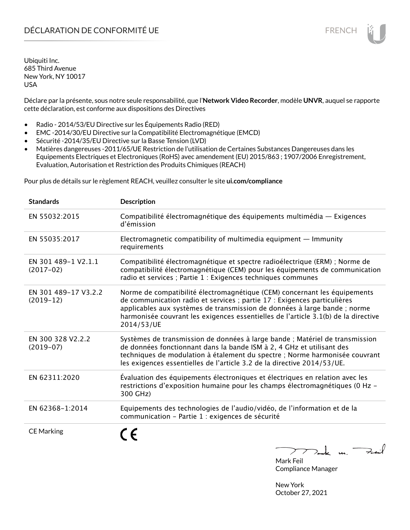Déclare par la présente, sous notre seule responsabilité, que l'**Network Video Recorder**, modèle **UNVR**, auquel se rapporte cette déclaration, est conforme aux dispositions des Directives

- Radio 2014/53/EU Directive sur les Équipements Radio (RED)
- EMC -2014/30/EU Directive sur la Compatibilité Electromagnétique (EMCD)
- Sécurité -2014/35/EU Directive sur la Basse Tension (LVD)
- Matières dangereuses -2011/65/UE Restriction de l'utilisation de Certaines Substances Dangereuses dans les Equipements Electriques et Electroniques (RoHS) avec amendement (EU) 2015/863 ; 1907/2006 Enregistrement, Evaluation, Autorisation et Restriction des Produits Chimiques (REACH)

Pour plus de détails sur le règlement REACH, veuillez consulter le site **ui.com/compliance**

| <b>Standards</b>                    | <b>Description</b>                                                                                                                                                                                                                                                                                                                     |
|-------------------------------------|----------------------------------------------------------------------------------------------------------------------------------------------------------------------------------------------------------------------------------------------------------------------------------------------------------------------------------------|
| EN 55032:2015                       | Compatibilité électromagnétique des équipements multimédia — Exigences<br>d'émission                                                                                                                                                                                                                                                   |
| EN 55035:2017                       | Electromagnetic compatibility of multimedia equipment $-$ Immunity<br>requirements                                                                                                                                                                                                                                                     |
| EN 301 489-1 V2.1.1<br>$(2017-02)$  | Compatibilité électromagnétique et spectre radioélectrique (ERM) ; Norme de<br>compatibilité électromagnétique (CEM) pour les équipements de communication<br>radio et services ; Partie 1 : Exigences techniques communes                                                                                                             |
| EN 301 489-17 V3.2.2<br>$(2019-12)$ | Norme de compatibilité électromagnétique (CEM) concernant les équipements<br>de communication radio et services ; partie 17 : Exigences particulières<br>applicables aux systèmes de transmission de données à large bande ; norme<br>harmonisée couvrant les exigences essentielles de l'article 3.1(b) de la directive<br>2014/53/UE |
| EN 300 328 V2.2.2<br>$(2019-07)$    | Systèmes de transmission de données à large bande ; Matériel de transmission<br>de données fonctionnant dans la bande ISM à 2, 4 GHz et utilisant des<br>techniques de modulation à étalement du spectre ; Norme harmonisée couvrant<br>les exigences essentielles de l'article 3.2 de la directive 2014/53/UE.                        |
| EN 62311:2020                       | Évaluation des équipements électroniques et électriques en relation avec les<br>restrictions d'exposition humaine pour les champs électromagnétiques (0 Hz -<br>300 GHz)                                                                                                                                                               |
| EN 62368-1:2014                     | Equipements des technologies de l'audio/vidéo, de l'information et de la<br>communication - Partie 1 : exigences de sécurité                                                                                                                                                                                                           |
| <b>CE Marking</b>                   | $\overline{u}$                                                                                                                                                                                                                                                                                                                         |

 $\overline{\phantom{a}}$ ╱  $2 - k$  u. Mark Feil

Compliance Manager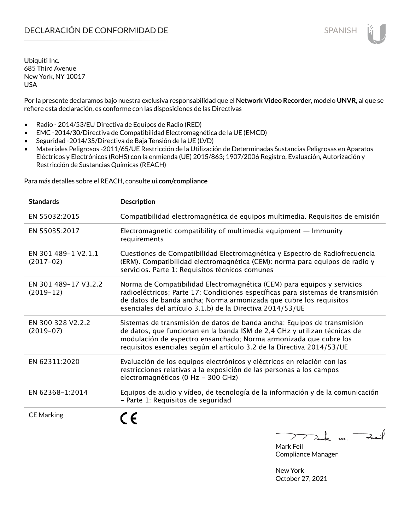Por la presente declaramos bajo nuestra exclusiva responsabilidad que el **Network Video Recorder**, modelo **UNVR**, al que se refiere esta declaración, es conforme con las disposiciones de las Directivas

- Radio 2014/53/EU Directiva de Equipos de Radio (RED)
- EMC -2014/30/Directiva de Compatibilidad Electromagnética de la UE (EMCD)
- Seguridad -2014/35/Directiva de Baja Tensión de la UE (LVD)
- Materiales Peligrosos -2011/65/UE Restricción de la Utilización de Determinadas Sustancias Peligrosas en Aparatos Eléctricos y Electrónicos (RoHS) con la enmienda (UE) 2015/863; 1907/2006 Registro, Evaluación, Autorización y Restricción de Sustancias Químicas (REACH)

Para más detalles sobre el REACH, consulte **ui.com/compliance**

| <b>Standards</b>                    | <b>Description</b>                                                                                                                                                                                                                                                                                  |
|-------------------------------------|-----------------------------------------------------------------------------------------------------------------------------------------------------------------------------------------------------------------------------------------------------------------------------------------------------|
| EN 55032:2015                       | Compatibilidad electromagnética de equipos multimedia. Requisitos de emisión                                                                                                                                                                                                                        |
| EN 55035:2017                       | Electromagnetic compatibility of multimedia equipment $-$ Immunity<br>requirements                                                                                                                                                                                                                  |
| EN 301 489-1 V2.1.1<br>$(2017-02)$  | Cuestiones de Compatibilidad Electromagnética y Espectro de Radiofrecuencia<br>(ERM). Compatibilidad electromagnética (CEM): norma para equipos de radio y<br>servicios. Parte 1: Requisitos técnicos comunes                                                                                       |
| EN 301 489-17 V3.2.2<br>$(2019-12)$ | Norma de Compatibilidad Electromagnética (CEM) para equipos y servicios<br>radioeléctricos; Parte 17: Condiciones específicas para sistemas de transmisión<br>de datos de banda ancha; Norma armonizada que cubre los requisitos<br>esenciales del artículo 3.1.b) de la Directiva 2014/53/UE       |
| EN 300 328 V2.2.2<br>$(2019-07)$    | Sistemas de transmisión de datos de banda ancha; Equipos de transmisión<br>de datos, que funcionan en la banda ISM de 2,4 GHz y utilizan técnicas de<br>modulación de espectro ensanchado; Norma armonizada que cubre los<br>requisitos esenciales según el artículo 3.2 de la Directiva 2014/53/UE |
| EN 62311:2020                       | Evaluación de los equipos electrónicos y eléctricos en relación con las<br>restricciones relativas a la exposición de las personas a los campos<br>electromagnéticos (0 Hz - 300 GHz)                                                                                                               |
| EN 62368-1:2014                     | Equipos de audio y vídeo, de tecnología de la información y de la comunicación<br>- Parte 1: Requisitos de seguridad                                                                                                                                                                                |
| <b>CE Marking</b>                   |                                                                                                                                                                                                                                                                                                     |

 $\downarrow$  m. Fail  $\overline{\phantom{a}}$ 

Mark Feil Compliance Manager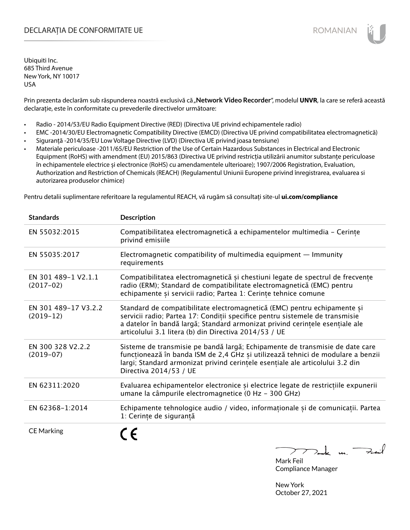# DECLARAȚIA DE CONFORMITATE UE EXECUTE DE ROMANIAN

Ubiquiti Inc. 685 Third Avenue New York, NY 10017 USA

Prin prezenta declarăm sub răspunderea noastră exclusivă că "Network Video Recorder", modelul UNVR, la care se referă această declarație, este în conformitate cu prevederile directivelor următoare:

- Radio 2014/53/EU Radio Equipment Directive (RED) (Directiva UE privind echipamentele radio)
- EMC -2014/30/EU Electromagnetic Compatibility Directive (EMCD) (Directiva UE privind compatibilitatea electromagnetică)
- Siguranță -2014/35/EU Low Voltage Directive (LVD) (Directiva UE privind joasa tensiune)
- Materiale periculoase -2011/65/EU Restriction of the Use of Certain Hazardous Substances in Electrical and Electronic Equipment (RoHS) with amendment (EU) 2015/863 (Directiva UE privind restricția utilizării anumitor substanțe periculoase în echipamentele electrice și electronice (RoHS) cu amendamentele ulterioare); 1907/2006 Registration, Evaluation, Authorization and Restriction of Chemicals (REACH) (Regulamentul Uniunii Europene privind înregistrarea, evaluarea si autorizarea produselor chimice)

Pentru detalii suplimentare referitoare la regulamentul REACH, vă rugăm să consultați site-ul **ui.com/compliance**

| <b>Standards</b>                    | <b>Description</b>                                                                                                                                                                                                                                                                                |
|-------------------------------------|---------------------------------------------------------------------------------------------------------------------------------------------------------------------------------------------------------------------------------------------------------------------------------------------------|
| EN 55032:2015                       | Compatibilitatea electromagnetică a echipamentelor multimedia - Cerințe<br>privind emisiile                                                                                                                                                                                                       |
| EN 55035:2017                       | Electromagnetic compatibility of multimedia equipment $-$ Immunity<br>requirements                                                                                                                                                                                                                |
| EN 301 489-1 V2.1.1<br>$(2017-02)$  | Compatibilitatea electromagnetică și chestiuni legate de spectrul de frecvențe<br>radio (ERM); Standard de compatibilitate electromagnetică (EMC) pentru<br>echipamente și servicii radio; Partea 1: Cerințe tehnice comune                                                                       |
| EN 301 489-17 V3.2.2<br>$(2019-12)$ | Standard de compatibilitate electromagnetică (EMC) pentru echipamente și<br>servicii radio; Partea 17: Condiții specifice pentru sistemele de transmisie<br>a datelor în bandă largă; Standard armonizat privind cerințele esențiale ale<br>articolului 3.1 litera (b) din Directiva 2014/53 / UE |
| EN 300 328 V2.2.2<br>$(2019-07)$    | Sisteme de transmisie pe bandă largă; Echipamente de transmisie de date care<br>funcționează în banda ISM de 2,4 GHz și utilizează tehnici de modulare a benzii<br>largi; Standard armonizat privind cerintele esentiale ale articolului 3.2 din<br>Directiva 2014/53 / UE                        |
| EN 62311:2020                       | Evaluarea echipamentelor electronice și electrice legate de restricțiile expunerii<br>umane la câmpurile electromagnetice (0 Hz - 300 GHz)                                                                                                                                                        |
| EN 62368-1:2014                     | Echipamente tehnologice audio / video, informaționale și de comunicații. Partea<br>1: Cerințe de siguranță                                                                                                                                                                                        |
| <b>CE Marking</b>                   | $\sqrt{2}$                                                                                                                                                                                                                                                                                        |

 $2$ t u Feit  $\sum$ Mark Feil

Compliance Manager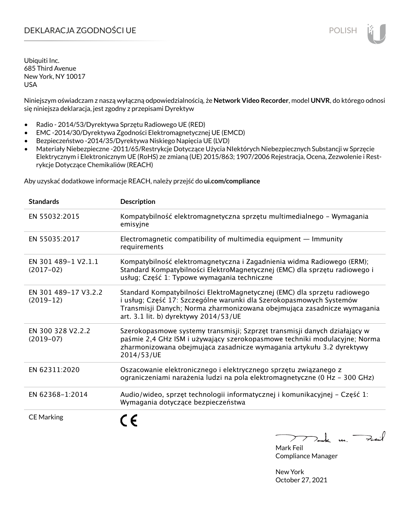# DEKLARACJA ZGODNOŚCI UE POLISH POLISH

Ubiquiti Inc. 685 Third Avenue New York, NY 10017 USA

Niniejszym oświadczam z naszą wyłączną odpowiedzialnością, że **Network Video Recorder**, model **UNVR**, do którego odnosi się niniejsza deklaracja, jest zgodny z przepisami Dyrektyw

- Radio 2014/53/Dyrektywa Sprzętu Radiowego UE (RED)
- EMC -2014/30/Dyrektywa Zgodności Elektromagnetycznej UE (EMCD)
- Bezpieczeństwo -2014/35/Dyrektywa Niskiego Napięcia UE (LVD)
- Materiały Niebezpieczne -2011/65/Restrykcje Dotyczące Użycia NIektórych Niebezpiecznych Substancji w Sprzęcie Elektrycznym i Elektronicznym UE (RoHS) ze zmianą (UE) 2015/863; 1907/2006 Rejestracja, Ocena, Zezwolenie i Restrykcje Dotyczące Chemikaliów (REACH)

Aby uzyskać dodatkowe informacje REACH, należy przejść do **ui.com/compliance**

| <b>Standards</b>                    | <b>Description</b>                                                                                                                                                                                                                                                  |
|-------------------------------------|---------------------------------------------------------------------------------------------------------------------------------------------------------------------------------------------------------------------------------------------------------------------|
| EN 55032:2015                       | Kompatybilność elektromagnetyczna sprzętu multimedialnego – Wymagania<br>emisyjne                                                                                                                                                                                   |
| EN 55035:2017                       | Electromagnetic compatibility of multimedia equipment - Immunity<br>requirements                                                                                                                                                                                    |
| EN 301 489-1 V2.1.1<br>$(2017-02)$  | Kompatybilność elektromagnetyczna i Zagadnienia widma Radiowego (ERM);<br>Standard Kompatybilności ElektroMagnetycznej (EMC) dla sprzętu radiowego i<br>usług; Część 1: Typowe wymagania techniczne                                                                 |
| EN 301 489-17 V3.2.2<br>$(2019-12)$ | Standard Kompatybilności ElektroMagnetycznej (EMC) dla sprzętu radiowego<br>i usług; Część 17: Szczególne warunki dla Szerokopasmowych Systemów<br>Transmisji Danych; Norma zharmonizowana obejmująca zasadnicze wymagania<br>art. 3.1 lit. b) dyrektywy 2014/53/UE |
| EN 300 328 V2.2.2<br>$(2019-07)$    | Szerokopasmowe systemy transmisji; Szprzęt transmisji danych działający w<br>paśmie 2,4 GHz ISM i używający szerokopasmowe techniki modulacyjne; Norma<br>zharmonizowana obejmująca zasadnicze wymagania artykułu 3.2 dyrektywy<br>2014/53/UE                       |
| EN 62311:2020                       | Oszacowanie elektronicznego i elektrycznego sprzętu związanego z<br>ograniczeniami narażenia ludzi na pola elektromagnetyczne (0 Hz - 300 GHz)                                                                                                                      |
| EN 62368-1:2014                     | Audio/wideo, sprzęt technologii informatycznej i komunikacyjnej – Część 1:<br>Wymagania dotyczące bezpieczeństwa                                                                                                                                                    |
| <b>CE Marking</b>                   |                                                                                                                                                                                                                                                                     |

 $\Rightarrow$ iil  $\mu$ 

Mark Feil Compliance Manager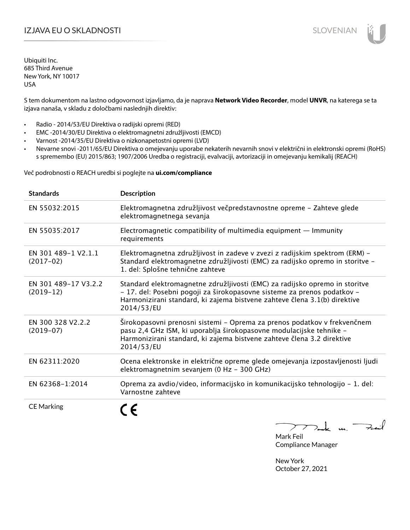# I**ZJAVA EU O SKLADNOSTI** SLOVENIAN

Ubiquiti Inc. 685 Third Avenue New York, NY 10017 USA

S tem dokumentom na lastno odgovornost izjavljamo, da je naprava **Network Video Recorder**, model **UNVR**, na katerega se ta izjava nanaša, v skladu z določbami naslednjih direktiv:

- Radio 2014/53/EU Direktiva o radijski opremi (RED)
- EMC -2014/30/EU Direktiva o elektromagnetni združljivosti (EMCD)
- Varnost -2014/35/EU Direktiva o nizkonapetostni opremi (LVD)
- Nevarne snovi -2011/65/EU Direktiva o omejevanju uporabe nekaterih nevarnih snovi v električni in elektronski opremi (RoHS) s spremembo (EU) 2015/863; 1907/2006 Uredba o registraciji, evalvaciji, avtorizaciji in omejevanju kemikalij (REACH)

Več podrobnosti o REACH uredbi si poglejte na **ui.com/compliance**

| <b>Standards</b>                    | <b>Description</b>                                                                                                                                                                                                                                |
|-------------------------------------|---------------------------------------------------------------------------------------------------------------------------------------------------------------------------------------------------------------------------------------------------|
| EN 55032:2015                       | Elektromagnetna združljivost večpredstavnostne opreme - Zahteve glede<br>elektromagnetnega sevanja                                                                                                                                                |
| EN 55035:2017                       | Electromagnetic compatibility of multimedia equipment $-$ Immunity<br>requirements                                                                                                                                                                |
| EN 301 489-1 V2.1.1<br>$(2017-02)$  | Elektromagnetna združljivost in zadeve v zvezi z radijskim spektrom (ERM) -<br>Standard elektromagnetne združljivosti (EMC) za radijsko opremo in storitve -<br>1. del: Splošne tehnične zahteve                                                  |
| EN 301 489-17 V3.2.2<br>$(2019-12)$ | Standard elektromagnetne združljivosti (EMC) za radijsko opremo in storitve<br>- 17. del: Posebni pogoji za širokopasovne sisteme za prenos podatkov -<br>Harmonizirani standard, ki zajema bistvene zahteve člena 3.1(b) direktive<br>2014/53/EU |
| EN 300 328 V2.2.2<br>$(2019-07)$    | Širokopasovni prenosni sistemi – Oprema za prenos podatkov v frekvenčnem<br>pasu 2,4 GHz ISM, ki uporablja širokopasovne modulacijske tehnike -<br>Harmonizirani standard, ki zajema bistvene zahteve člena 3.2 direktive<br>2014/53/EU           |
| EN 62311:2020                       | Ocena elektronske in električne opreme glede omejevanja izpostavljenosti ljudi<br>elektromagnetnim sevanjem (0 Hz - 300 GHz)                                                                                                                      |
| EN 62368-1:2014                     | Oprema za avdio/video, informacijsko in komunikacijsko tehnologijo - 1. del:<br>Varnostne zahteve                                                                                                                                                 |
| <b>CE Marking</b>                   |                                                                                                                                                                                                                                                   |

m. Fail

Mark Feil Compliance Manager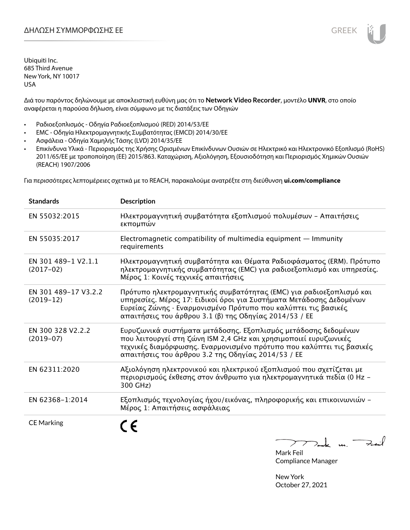Διά του παρόντος δηλώνουμε με αποκλειστική ευθύνη μας ότι το **Network Video Recorder**, μοντέλο **UNVR**, στο οποίο αναφέρεται η παρούσα δήλωση, είναι σύμφωνο με τις διατάξεις των Οδηγιών

- Ραδιοεξοπλισμός Οδηγία Ραδιοεξοπλισμού (RED) 2014/53/ΕΕ
- EMC Οδηγία Ηλεκτρομαγνητικής Συμβατότητας (EMCD) 2014/30/ΕΕ
- Ασφάλεια Οδηγία Χαμηλής Τάσης (LVD) 2014/35/ΕΕ
- Επικίνδυνα Υλικά Περιορισμός της Χρήσης Ορισμένων Επικίνδυνων Ουσιών σε Ηλεκτρικό και Ηλεκτρονικό Εξοπλισμό (RoHS) 2011/65/ΕΕ με τροποποίηση (ΕΕ) 2015/863. Καταχώριση, Αξιολόγηση, Εξουσιοδότηση και Περιορισμός Χημικών Ουσιών (REACH) 1907/2006

Για περισσότερες λεπτομέρειες σχετικά με το REACH, παρακαλούμε ανατρέξτε στη διεύθυνση **ui.com/compliance**

| <b>Standards</b>                    | <b>Description</b>                                                                                                                                                                                                                                                     |
|-------------------------------------|------------------------------------------------------------------------------------------------------------------------------------------------------------------------------------------------------------------------------------------------------------------------|
| EN 55032:2015                       | Ηλεκτρομαγνητική συμβατότητα εξοπλισμού πολυμέσων - Απαιτήσεις<br>εκπομπών                                                                                                                                                                                             |
| EN 55035:2017                       | Electromagnetic compatibility of multimedia equipment - Immunity<br>requirements                                                                                                                                                                                       |
| EN 301 489-1 V2.1.1<br>$(2017-02)$  | Ηλεκτρομαγνητική συμβατότητα και Θέματα Ραδιοφάσματος (ERM). Πρότυπο<br>ηλεκτρομαγνητικής συμβατότητας (EMC) για ραδιοεξοπλισμό και υπηρεσίες.<br>Μέρος 1: Κοινές τεχνικές απαιτήσεις                                                                                  |
| EN 301 489-17 V3.2.2<br>$(2019-12)$ | Πρότυπο ηλεκτρομαγνητικής συμβατότητας (ΕΜC) για ραδιοεξοπλισμό και<br>υπηρεσίες. Μέρος 17: Ειδικοί όροι για Συστήματα Μετάδοσης Δεδομένων<br>Ευρείας Ζώνης · Εναρμονισμένο Πρότυπο που καλύπτει τις βασικές<br>απαιτήσεις του άρθρου 3.1 (β) της Οδηγίας 2014/53 / ΕΕ |
| EN 300 328 V2.2.2<br>$(2019-07)$    | Ευρυζωνικά συστήματα μετάδοσης. Εξοπλισμός μετάδοσης δεδομένων<br>που λειτουργεί στη ζώνη ISM 2,4 GHz και χρησιμοποιεί ευρυζωνικές<br>τεχνικές διαμόρφωσης. Εναρμονισμένο πρότυπο που καλύπτει τις βασικές<br>απαιτήσεις του άρθρου 3.2 της Οδηγίας 2014/53 / ΕΕ       |
| EN 62311:2020                       | Αξιολόγηση ηλεκτρονικού και ηλεκτρικού εξοπλισμού που σχετίζεται με<br>περιορισμούς έκθεσης στον άνθρωπο για ηλεκτρομαγνητικά πεδία (0 Hz -<br>300 GHz)                                                                                                                |
| EN 62368-1:2014                     | Εξοπλισμός τεχνολογίας ήχου/εικόνας, πληροφορικής και επικοινωνιών -<br>Μέρος 1: Απαιτήσεις ασφάλειας                                                                                                                                                                  |
| <b>CE Marking</b>                   |                                                                                                                                                                                                                                                                        |

Tak m. Fail  $\sum$ 

Mark Feil Compliance Manager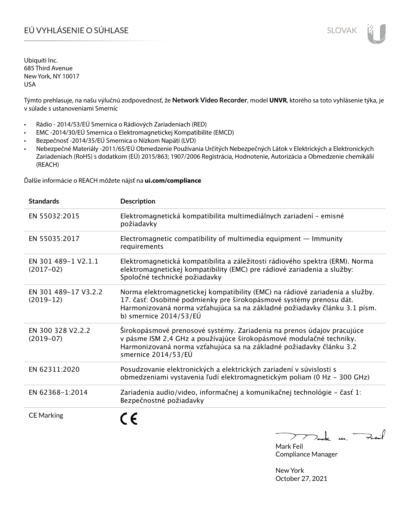# EÚ VYHLÁSENIE O SÚHLASE SLOVAK SLOVAK

Ubiquiti Inc. 685 Third Avenue New York, NY 10017 USA

Týmto prehlasuje, na našu výlučnú zodpovednosť, že **Network Video Recorder**, model **UNVR**, ktorého sa toto vyhlásenie týka, je v súlade s ustanoveniami Smerníc

- Rádio 2014/53/EÚ Smernica o Rádiových Zariadeniach (RED)
- EMC -2014/30/EÚ Smernica o Elektromagnetickej Kompatibilite (EMCD)
- Bezpečnosť -2014/35/EÚ Smernica o Nízkom Napätí (LVD)
- Nebezpečné Materiály -2011/65/EÚ Obmedzenie Používania Určitých Nebezpečných Látok v Elektrických a Elektronických Zariadeniach (RoHS) s dodatkom (EÚ) 2015/863; 1907/2006 Registrácia, Hodnotenie, Autorizácia a Obmedzenie chemikálií (REACH)

Ďalšie informácie o REACH môžete nájsť na **ui.com/compliance**

| <b>Standards</b>                    | <b>Description</b>                                                                                                                                                                                                                                         |
|-------------------------------------|------------------------------------------------------------------------------------------------------------------------------------------------------------------------------------------------------------------------------------------------------------|
| EN 55032:2015                       | Elektromagnetická kompatibilita multimediálnych zariadení - emisné<br>požiadavky                                                                                                                                                                           |
| EN 55035:2017                       | Electromagnetic compatibility of multimedia equipment $-$ Immunity<br>requirements                                                                                                                                                                         |
| EN 301 489-1 V2.1.1<br>$(2017-02)$  | Elektromagnetická kompatibilita a záležitosti rádiového spektra (ERM). Norma<br>elektromagnetickej kompatibility (EMC) pre rádiové zariadenia a služby:<br>Spoločné technické požiadavky                                                                   |
| EN 301 489-17 V3.2.2<br>$(2019-12)$ | Norma elektromagnetickej kompatibility (EMC) na rádiové zariadenia a služby.<br>17. časť: Osobitné podmienky pre širokopásmové systémy prenosu dát.<br>Harmonizovaná norma vzťahujúca sa na základné požiadavky článku 3.1 písm.<br>b) smernice 2014/53/EÚ |
| EN 300 328 V2.2.2<br>$(2019-07)$    | Širokopásmové prenosové systémy. Zariadenia na prenos údajov pracujúce<br>v pásme ISM 2,4 GHz a používajúce širokopásmové modulačné techniky.<br>Harmonizovaná norma vzťahujúca sa na základné požiadavky článku 3.2<br>smernice 2014/53/EÚ                |
| EN 62311:2020                       | Posudzovanie elektronických a elektrických zariadení v súvislosti s<br>obmedzeniami vystavenia ľudí elektromagnetickým poliam (0 Hz - 300 GHz)                                                                                                             |
| EN 62368-1:2014                     | Zariadenia audio/video, informačnej a komunikačnej technológie – časť 1:<br>Bezpečnostné požiadavky                                                                                                                                                        |
| <b>CE Marking</b>                   |                                                                                                                                                                                                                                                            |

 $k$  un  $\rightarrow$  $\sum$ 

Mark Feil Compliance Manager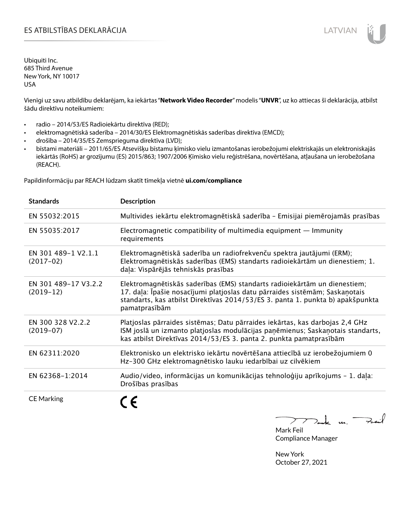# ES ATBILSTĪBAS DEKLARĀCIJA LATVIAN

Ubiquiti Inc. 685 Third Avenue New York, NY 10017 USA

Vienīgi uz savu atbildību deklarējam, ka iekārtas "**Network Video Recorder**" modelis "**UNVR**", uz ko attiecas šī deklarācija, atbilst šādu direktīvu noteikumiem:

- radio 2014/53/ES Radioiekārtu direktīva (RED);
- elektromagnētiskā saderība 2014/30/ES Elektromagnētiskās saderības direktīva (EMCD);
- drošība 2014/35/ES Zemsprieguma direktīva (LVD);
- bīstami materiāli 2011/65/ES Atsevišķu bīstamu ķīmisko vielu izmantošanas ierobežojumi elektriskajās un elektroniskajās iekārtās (RoHS) ar grozījumu (ES) 2015/863; 1907/2006 Ķīmisko vielu reģistrēšana, novērtēšana, atļaušana un ierobežošana (REACH).

Papildinformāciju par REACH lūdzam skatīt tīmekļa vietnē **ui.com/compliance**

| <b>Standards</b>                    | <b>Description</b>                                                                                                                                                                                                                                          |
|-------------------------------------|-------------------------------------------------------------------------------------------------------------------------------------------------------------------------------------------------------------------------------------------------------------|
| EN 55032:2015                       | Multivides iekārtu elektromagnētiskā saderība - Emisijai piemērojamās prasības                                                                                                                                                                              |
| EN 55035:2017                       | Electromagnetic compatibility of multimedia equipment - Immunity<br>requirements                                                                                                                                                                            |
| EN 301 489-1 V2.1.1<br>$(2017-02)$  | Elektromagnētiskā saderība un radiofrekvenču spektra jautājumi (ERM);<br>Elektromagnētiskās saderības (EMS) standarts radioiekārtām un dienestiem; 1.<br>daļa: Vispārējās tehniskās prasības                                                                |
| EN 301 489-17 V3.2.2<br>$(2019-12)$ | Elektromagnētiskās saderības (EMS) standarts radioiekārtām un dienestiem;<br>17. daļa: Īpašie nosacījumi platjoslas datu pārraides sistēmām; Saskaņotais<br>standarts, kas atbilst Direktīvas 2014/53/ES 3. panta 1. punkta b) apakšpunkta<br>pamatprasībām |
| EN 300 328 V2.2.2<br>$(2019-07)$    | Platjoslas pārraides sistēmas; Datu pārraides iekārtas, kas darbojas 2,4 GHz<br>ISM joslā un izmanto platjoslas modulācijas paņēmienus; Saskaņotais standarts,<br>kas atbilst Direktīvas 2014/53/ES 3. panta 2. punkta pamatprasībām                        |
| EN 62311:2020                       | Elektronisko un elektrisko iekārtu novērtēšana attiecībā uz ierobežojumiem 0<br>Hz-300 GHz elektromagnētisko lauku iedarbībai uz cilvēkiem                                                                                                                  |
| EN 62368-1:2014                     | Audio/video, informācijas un komunikācijas tehnoloģiju aprīkojums - 1. daļa:<br>Drošības prasības                                                                                                                                                           |
| <b>CE Marking</b>                   |                                                                                                                                                                                                                                                             |

Tak un Fail  $\triangleright$ 

Mark Feil Compliance Manager